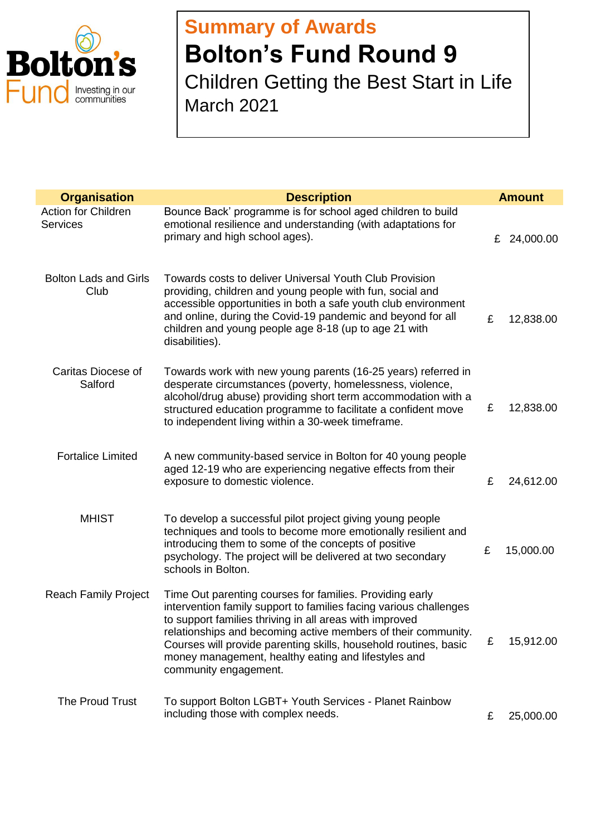

## **Summary of Awards Bolton's Fund Round 9** Children Getting the Best Start in Life March 2021

| <b>Organisation</b>                    | <b>Description</b>                                                                                                                                                                                                                                                                                                                                                                                            |   | <b>Amount</b> |
|----------------------------------------|---------------------------------------------------------------------------------------------------------------------------------------------------------------------------------------------------------------------------------------------------------------------------------------------------------------------------------------------------------------------------------------------------------------|---|---------------|
| Action for Children<br><b>Services</b> | Bounce Back' programme is for school aged children to build<br>emotional resilience and understanding (with adaptations for<br>primary and high school ages).                                                                                                                                                                                                                                                 |   | £ 24,000.00   |
| <b>Bolton Lads and Girls</b><br>Club   | Towards costs to deliver Universal Youth Club Provision<br>providing, children and young people with fun, social and<br>accessible opportunities in both a safe youth club environment<br>and online, during the Covid-19 pandemic and beyond for all<br>children and young people age 8-18 (up to age 21 with<br>disabilities).                                                                              | £ | 12,838.00     |
| Caritas Diocese of<br>Salford          | Towards work with new young parents (16-25 years) referred in<br>desperate circumstances (poverty, homelessness, violence,<br>alcohol/drug abuse) providing short term accommodation with a<br>structured education programme to facilitate a confident move<br>to independent living within a 30-week timeframe.                                                                                             | £ | 12,838.00     |
| <b>Fortalice Limited</b>               | A new community-based service in Bolton for 40 young people<br>aged 12-19 who are experiencing negative effects from their<br>exposure to domestic violence.                                                                                                                                                                                                                                                  | £ | 24,612.00     |
| <b>MHIST</b>                           | To develop a successful pilot project giving young people<br>techniques and tools to become more emotionally resilient and<br>introducing them to some of the concepts of positive<br>psychology. The project will be delivered at two secondary<br>schools in Bolton.                                                                                                                                        | £ | 15,000.00     |
| <b>Reach Family Project</b>            | Time Out parenting courses for families. Providing early<br>intervention family support to families facing various challenges<br>to support families thriving in all areas with improved<br>relationships and becoming active members of their community.<br>Courses will provide parenting skills, household routines, basic<br>money management, healthy eating and lifestyles and<br>community engagement. | £ | 15,912.00     |
| The Proud Trust                        | To support Bolton LGBT+ Youth Services - Planet Rainbow<br>including those with complex needs.                                                                                                                                                                                                                                                                                                                | £ | 25,000.00     |